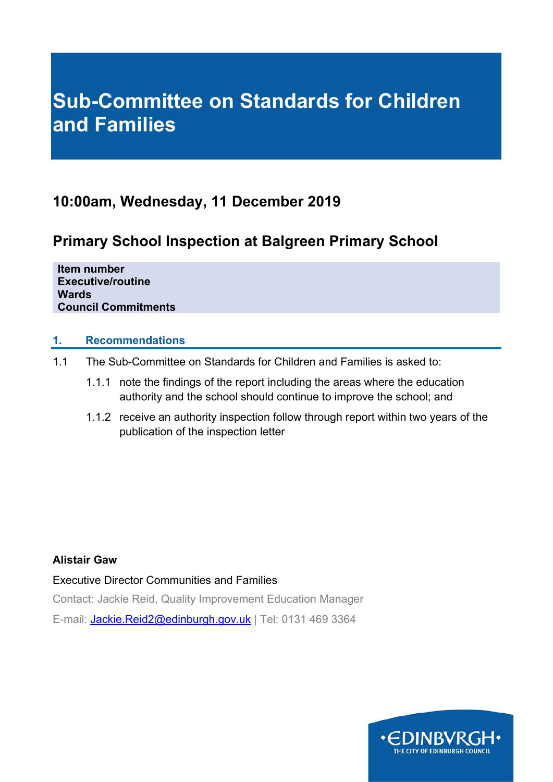# **Sub-Committee on Standards for Children and Families**

# **10:00am, Wednesday, 11 December 2019**

# **Primary School Inspection at Balgreen Primary School**

**Item number Executive/routine Wards Council Commitments** 

### **1. Recommendations**

- 1.1 The Sub-Committee on Standards for Children and Families is asked to:
	- 1.1.1 note the findings of the report including the areas where the education authority and the school should continue to improve the school; and
	- 1.1.2 receive an authority inspection follow through report within two years of the publication of the inspection letter

### **Alistair Gaw**

Executive Director Communities and Families Contact: Jackie Reid, Quality Improvement Education Manager E-mail: Jackie.Reid2@edinburgh.gov.uk | Tel: 0131 469 3364

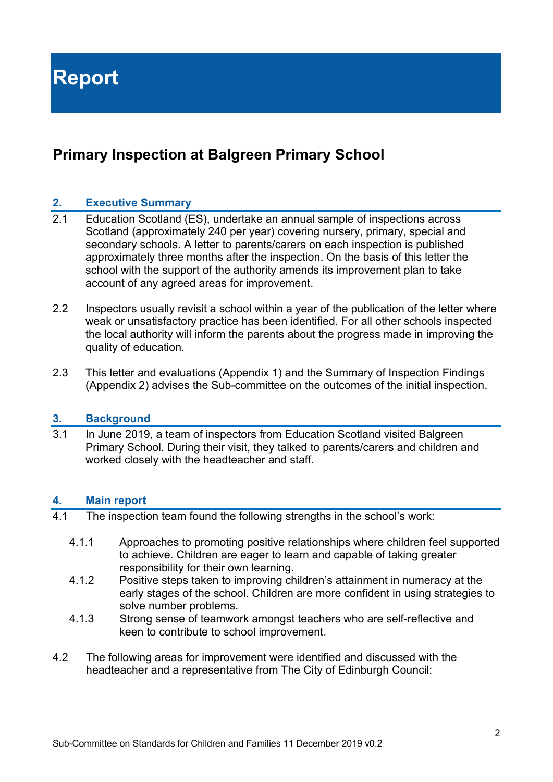# **Primary Inspection at Balgreen Primary School**

### **2. Executive Summary**

- 2.1 Education Scotland (ES), undertake an annual sample of inspections across Scotland (approximately 240 per year) covering nursery, primary, special and secondary schools. A letter to parents/carers on each inspection is published approximately three months after the inspection. On the basis of this letter the school with the support of the authority amends its improvement plan to take account of any agreed areas for improvement.
- 2.2 Inspectors usually revisit a school within a year of the publication of the letter where weak or unsatisfactory practice has been identified. For all other schools inspected the local authority will inform the parents about the progress made in improving the quality of education.
- 2.3 This letter and evaluations (Appendix 1) and the Summary of Inspection Findings (Appendix 2) advises the Sub-committee on the outcomes of the initial inspection.

### **3. Background**

3.1 In June 2019, a team of inspectors from Education Scotland visited Balgreen Primary School. During their visit, they talked to parents/carers and children and worked closely with the headteacher and staff.

### **4. Main report**

- 4.1 The inspection team found the following strengths in the school's work:
	- 4.1.1 Approaches to promoting positive relationships where children feel supported to achieve. Children are eager to learn and capable of taking greater responsibility for their own learning.
	- 4.1.2 Positive steps taken to improving children's attainment in numeracy at the early stages of the school. Children are more confident in using strategies to solve number problems.
	- 4.1.3 Strong sense of teamwork amongst teachers who are self-reflective and keen to contribute to school improvement.
- 4.2 The following areas for improvement were identified and discussed with the headteacher and a representative from The City of Edinburgh Council: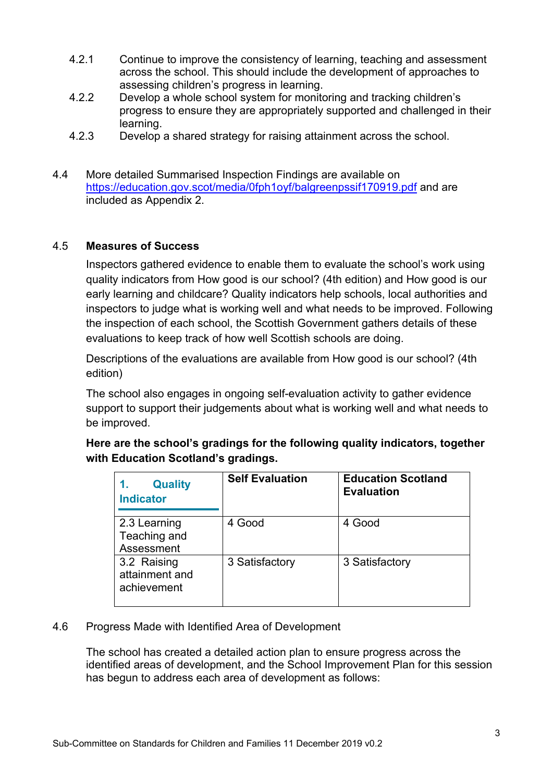- 4.2.1 Continue to improve the consistency of learning, teaching and assessment across the school. This should include the development of approaches to assessing children's progress in learning.
- 4.2.2 Develop a whole school system for monitoring and tracking children's progress to ensure they are appropriately supported and challenged in their learning.
- 4.2.3 Develop a shared strategy for raising attainment across the school.
- 4.4 More detailed Summarised Inspection Findings are available on https://education.gov.scot/media/0fph1oyf/balgreenpssif170919.pdf and are included as Appendix 2.

### 4.5 **Measures of Success**

Inspectors gathered evidence to enable them to evaluate the school's work using quality indicators from How good is our school? (4th edition) and How good is our early learning and childcare? Quality indicators help schools, local authorities and inspectors to judge what is working well and what needs to be improved. Following the inspection of each school, the Scottish Government gathers details of these evaluations to keep track of how well Scottish schools are doing.

Descriptions of the evaluations are available from How good is our school? (4th edition)

The school also engages in ongoing self-evaluation activity to gather evidence support to support their judgements about what is working well and what needs to be improved.

### **Here are the school's gradings for the following quality indicators, together with Education Scotland's gradings.**

| <b>Quality</b><br><b>Indicator</b>           | <b>Self Evaluation</b> | <b>Education Scotland</b><br><b>Evaluation</b> |
|----------------------------------------------|------------------------|------------------------------------------------|
| 2.3 Learning<br>Teaching and<br>Assessment   | 4 Good                 | 4 Good                                         |
| 3.2 Raising<br>attainment and<br>achievement | 3 Satisfactory         | 3 Satisfactory                                 |

### 4.6 Progress Made with Identified Area of Development

The school has created a detailed action plan to ensure progress across the identified areas of development, and the School Improvement Plan for this session has begun to address each area of development as follows: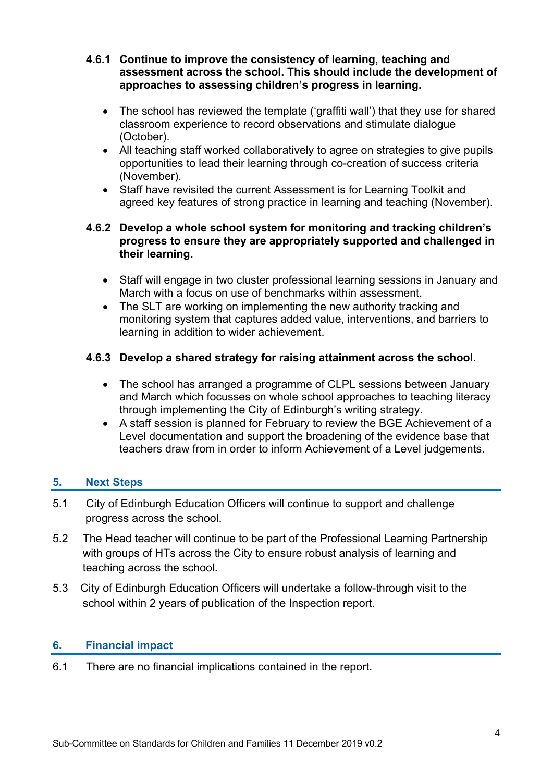- **4.6.1 Continue to improve the consistency of learning, teaching and assessment across the school. This should include the development of approaches to assessing children's progress in learning.** 
	- The school has reviewed the template ('graffiti wall') that they use for shared classroom experience to record observations and stimulate dialogue (October).
	- All teaching staff worked collaboratively to agree on strategies to give pupils opportunities to lead their learning through co-creation of success criteria (November).
	- Staff have revisited the current Assessment is for Learning Toolkit and agreed key features of strong practice in learning and teaching (November).

### **4.6.2 Develop a whole school system for monitoring and tracking children's progress to ensure they are appropriately supported and challenged in their learning.**

- Staff will engage in two cluster professional learning sessions in January and March with a focus on use of benchmarks within assessment.
- The SLT are working on implementing the new authority tracking and monitoring system that captures added value, interventions, and barriers to learning in addition to wider achievement.

### **4.6.3 Develop a shared strategy for raising attainment across the school.**

- The school has arranged a programme of CLPL sessions between January and March which focusses on whole school approaches to teaching literacy through implementing the City of Edinburgh's writing strategy.
- A staff session is planned for February to review the BGE Achievement of a Level documentation and support the broadening of the evidence base that teachers draw from in order to inform Achievement of a Level judgements.

### **5. Next Steps**

- 5.1 City of Edinburgh Education Officers will continue to support and challenge progress across the school.
- 5.2 The Head teacher will continue to be part of the Professional Learning Partnership with groups of HTs across the City to ensure robust analysis of learning and teaching across the school.
- 5.3 City of Edinburgh Education Officers will undertake a follow-through visit to the school within 2 years of publication of the Inspection report.

### **6. Financial impact**

6.1 There are no financial implications contained in the report.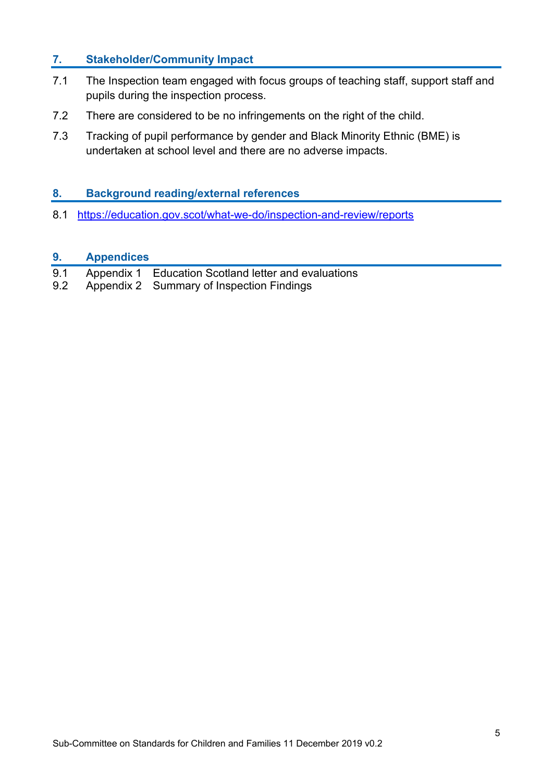### **7. Stakeholder/Community Impact**

- 7.1 The Inspection team engaged with focus groups of teaching staff, support staff and pupils during the inspection process.
- 7.2 There are considered to be no infringements on the right of the child.
- 7.3 Tracking of pupil performance by gender and Black Minority Ethnic (BME) is undertaken at school level and there are no adverse impacts.

### **8. Background reading/external references**

8.1 https://education.gov.scot/what-we-do/inspection-and-review/reports

### **9. Appendices**

| 9.1 | Appendix 1 Education Scotland letter and evaluations |  |  |  |  |  |
|-----|------------------------------------------------------|--|--|--|--|--|
|-----|------------------------------------------------------|--|--|--|--|--|

9.2 Appendix 2 Summary of Inspection Findings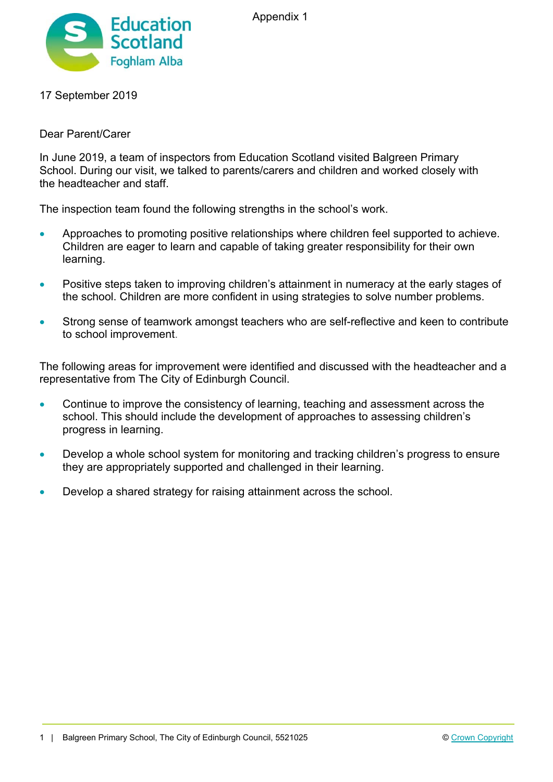



### 17 September 2019

### Dear Parent/Carer

In June 2019, a team of inspectors from Education Scotland visited Balgreen Primary School. During our visit, we talked to parents/carers and children and worked closely with the headteacher and staff.

The inspection team found the following strengths in the school's work.

- Approaches to promoting positive relationships where children feel supported to achieve. Children are eager to learn and capable of taking greater responsibility for their own learning.
- Positive steps taken to improving children's attainment in numeracy at the early stages of the school. Children are more confident in using strategies to solve number problems.
- Strong sense of teamwork amongst teachers who are self-reflective and keen to contribute to school improvement.

The following areas for improvement were identified and discussed with the headteacher and a representative from The City of Edinburgh Council.

- Continue to improve the consistency of learning, teaching and assessment across the school. This should include the development of approaches to assessing children's progress in learning.
- Develop a whole school system for monitoring and tracking children's progress to ensure they are appropriately supported and challenged in their learning.
- Develop a shared strategy for raising attainment across the school.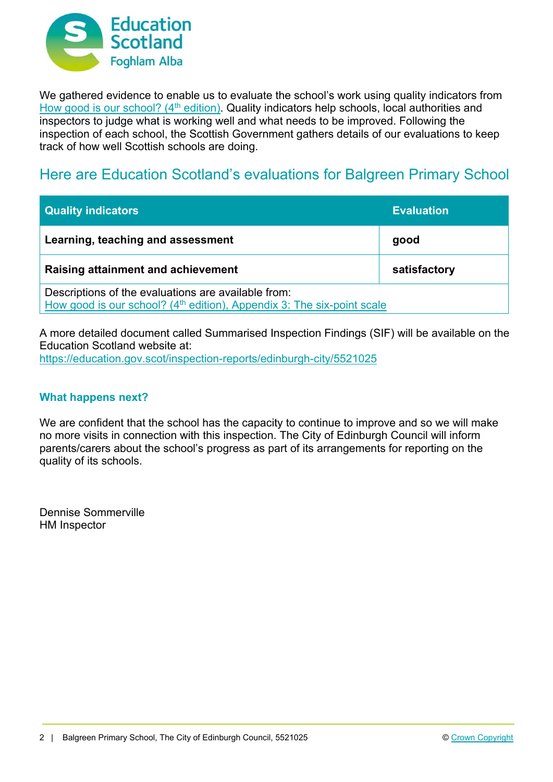

We gathered evidence to enable us to evaluate the school's work using quality indicators from How good is our school? (4<sup>th</sup> edition). Quality indicators help schools, local authorities and inspectors to judge what is working well and what needs to be improved. Following the inspection of each school, the Scottish Government gathers details of our evaluations to keep track of how well Scottish schools are doing.

### Here are Education Scotland's evaluations for Balgreen Primary School

| <b>Quality indicators</b>                                                                                                                 | <b>Evaluation</b> |  |
|-------------------------------------------------------------------------------------------------------------------------------------------|-------------------|--|
| Learning, teaching and assessment                                                                                                         | good              |  |
| Raising attainment and achievement                                                                                                        | satisfactory      |  |
| Descriptions of the evaluations are available from:<br>How good is our school? (4 <sup>th</sup> edition), Appendix 3: The six-point scale |                   |  |

A more detailed document called Summarised Inspection Findings (SIF) will be available on the Education Scotland website at: https://education.gov.scot/inspection-reports/edinburgh-city/5521025

### **What happens next?**

We are confident that the school has the capacity to continue to improve and so we will make no more visits in connection with this inspection. The City of Edinburgh Council will inform parents/carers about the school's progress as part of its arrangements for reporting on the quality of its schools.

Dennise Sommerville HM Inspector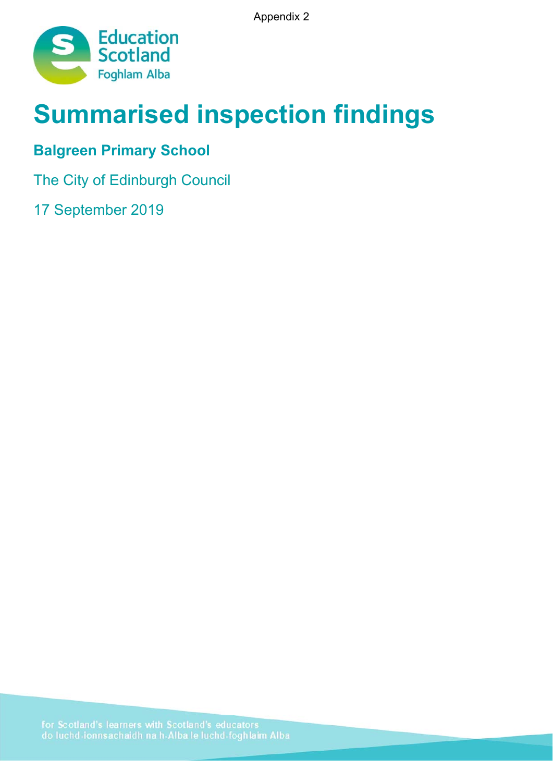Appendix 2



# **Summarised inspection findings**

# **Balgreen Primary School**

The City of Edinburgh Council

17 September 2019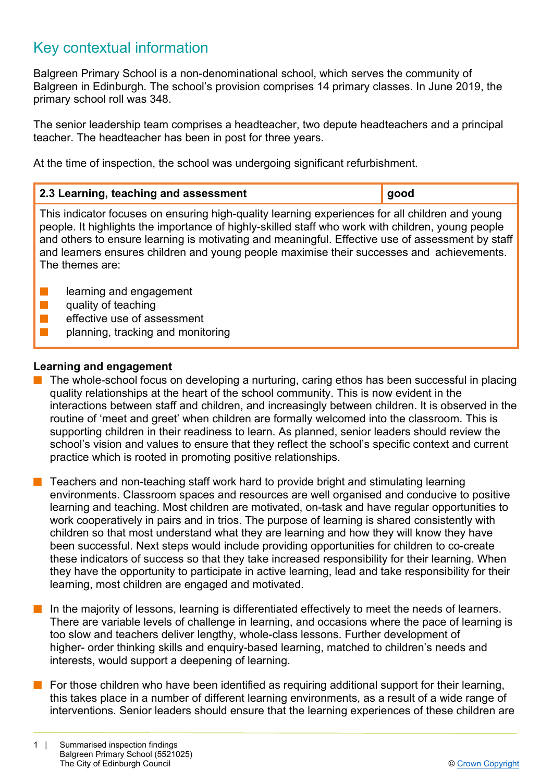## Key contextual information

Balgreen Primary School is a non-denominational school, which serves the community of Balgreen in Edinburgh. The school's provision comprises 14 primary classes. In June 2019, the primary school roll was 348.

The senior leadership team comprises a headteacher, two depute headteachers and a principal teacher. The headteacher has been in post for three years.

At the time of inspection, the school was undergoing significant refurbishment.

| 2.3 Learning, teaching and assessment                                                                                                                                                                                                                                                                                                                                                                                    | good |  |
|--------------------------------------------------------------------------------------------------------------------------------------------------------------------------------------------------------------------------------------------------------------------------------------------------------------------------------------------------------------------------------------------------------------------------|------|--|
| This indicator focuses on ensuring high-quality learning experiences for all children and young<br>people. It highlights the importance of highly-skilled staff who work with children, young people<br>and others to ensure learning is motivating and meaningful. Effective use of assessment by staff<br>and learners ensures children and young people maximise their successes and achievements.<br>The themes are: |      |  |
| learning and engagement<br>quality of teaching<br>effective use of assessment<br>planning, tracking and monitoring                                                                                                                                                                                                                                                                                                       |      |  |

### **Learning and engagement**

- $\blacksquare$  The whole-school focus on developing a nurturing, caring ethos has been successful in placing quality relationships at the heart of the school community. This is now evident in the interactions between staff and children, and increasingly between children. It is observed in the routine of 'meet and greet' when children are formally welcomed into the classroom. This is supporting children in their readiness to learn. As planned, senior leaders should review the school's vision and values to ensure that they reflect the school's specific context and current practice which is rooted in promoting positive relationships.
- Teachers and non-teaching staff work hard to provide bright and stimulating learning environments. Classroom spaces and resources are well organised and conducive to positive learning and teaching. Most children are motivated, on-task and have regular opportunities to work cooperatively in pairs and in trios. The purpose of learning is shared consistently with children so that most understand what they are learning and how they will know they have been successful. Next steps would include providing opportunities for children to co-create these indicators of success so that they take increased responsibility for their learning. When they have the opportunity to participate in active learning, lead and take responsibility for their learning, most children are engaged and motivated.
- In the majority of lessons, learning is differentiated effectively to meet the needs of learners. There are variable levels of challenge in learning, and occasions where the pace of learning is too slow and teachers deliver lengthy, whole-class lessons. Further development of higher- order thinking skills and enquiry-based learning, matched to children's needs and interests, would support a deepening of learning.
- $\blacksquare$  For those children who have been identified as requiring additional support for their learning, this takes place in a number of different learning environments, as a result of a wide range of interventions. Senior leaders should ensure that the learning experiences of these children are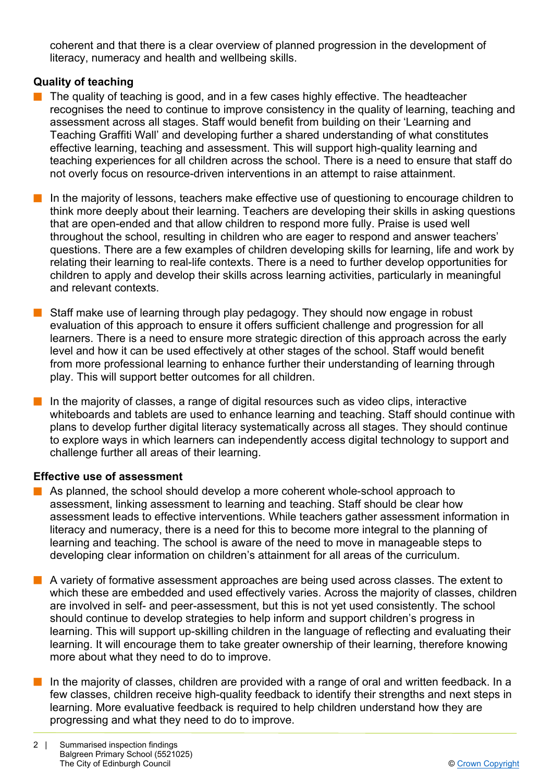coherent and that there is a clear overview of planned progression in the development of literacy, numeracy and health and wellbeing skills.

### **Quality of teaching**

- The quality of teaching is good, and in a few cases highly effective. The headteacher recognises the need to continue to improve consistency in the quality of learning, teaching and assessment across all stages. Staff would benefit from building on their 'Learning and Teaching Graffiti Wall' and developing further a shared understanding of what constitutes effective learning, teaching and assessment. This will support high-quality learning and teaching experiences for all children across the school. There is a need to ensure that staff do not overly focus on resource-driven interventions in an attempt to raise attainment.
- $\blacksquare$  In the majority of lessons, teachers make effective use of questioning to encourage children to think more deeply about their learning. Teachers are developing their skills in asking questions that are open-ended and that allow children to respond more fully. Praise is used well throughout the school, resulting in children who are eager to respond and answer teachers' questions. There are a few examples of children developing skills for learning, life and work by relating their learning to real-life contexts. There is a need to further develop opportunities for children to apply and develop their skills across learning activities, particularly in meaningful and relevant contexts.
- $\blacksquare$  Staff make use of learning through play pedagogy. They should now engage in robust evaluation of this approach to ensure it offers sufficient challenge and progression for all learners. There is a need to ensure more strategic direction of this approach across the early level and how it can be used effectively at other stages of the school. Staff would benefit from more professional learning to enhance further their understanding of learning through play. This will support better outcomes for all children.
- $\blacksquare$  In the majority of classes, a range of digital resources such as video clips, interactive whiteboards and tablets are used to enhance learning and teaching. Staff should continue with plans to develop further digital literacy systematically across all stages. They should continue to explore ways in which learners can independently access digital technology to support and challenge further all areas of their learning.

### **Effective use of assessment**

- $\blacksquare$  As planned, the school should develop a more coherent whole-school approach to assessment, linking assessment to learning and teaching. Staff should be clear how assessment leads to effective interventions. While teachers gather assessment information in literacy and numeracy, there is a need for this to become more integral to the planning of learning and teaching. The school is aware of the need to move in manageable steps to developing clear information on children's attainment for all areas of the curriculum.
- **n** A variety of formative assessment approaches are being used across classes. The extent to which these are embedded and used effectively varies. Across the majority of classes, children are involved in self- and peer-assessment, but this is not yet used consistently. The school should continue to develop strategies to help inform and support children's progress in learning. This will support up-skilling children in the language of reflecting and evaluating their learning. It will encourage them to take greater ownership of their learning, therefore knowing more about what they need to do to improve.
- $\blacksquare$  In the majority of classes, children are provided with a range of oral and written feedback. In a few classes, children receive high-quality feedback to identify their strengths and next steps in learning. More evaluative feedback is required to help children understand how they are progressing and what they need to do to improve.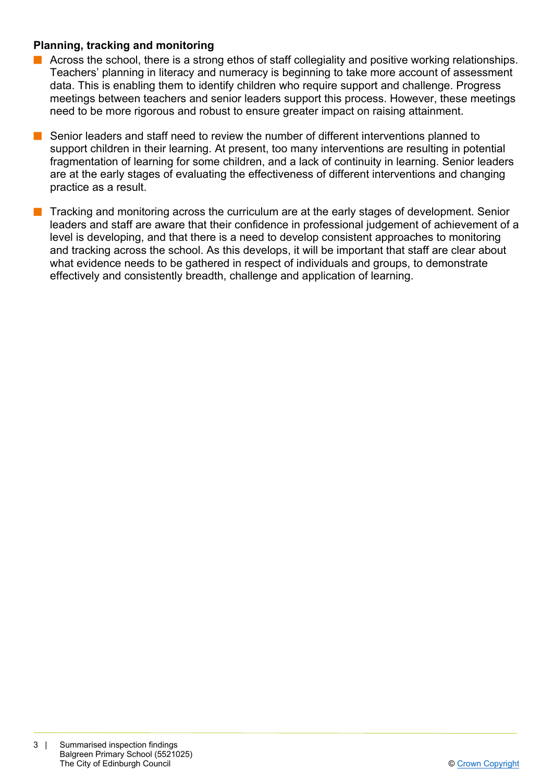### **Planning, tracking and monitoring**

- n Across the school, there is a strong ethos of staff collegiality and positive working relationships. Teachers' planning in literacy and numeracy is beginning to take more account of assessment data. This is enabling them to identify children who require support and challenge. Progress meetings between teachers and senior leaders support this process. However, these meetings need to be more rigorous and robust to ensure greater impact on raising attainment.
- Senior leaders and staff need to review the number of different interventions planned to support children in their learning. At present, too many interventions are resulting in potential fragmentation of learning for some children, and a lack of continuity in learning. Senior leaders are at the early stages of evaluating the effectiveness of different interventions and changing practice as a result.
- Tracking and monitoring across the curriculum are at the early stages of development. Senior leaders and staff are aware that their confidence in professional judgement of achievement of a level is developing, and that there is a need to develop consistent approaches to monitoring and tracking across the school. As this develops, it will be important that staff are clear about what evidence needs to be gathered in respect of individuals and groups, to demonstrate effectively and consistently breadth, challenge and application of learning.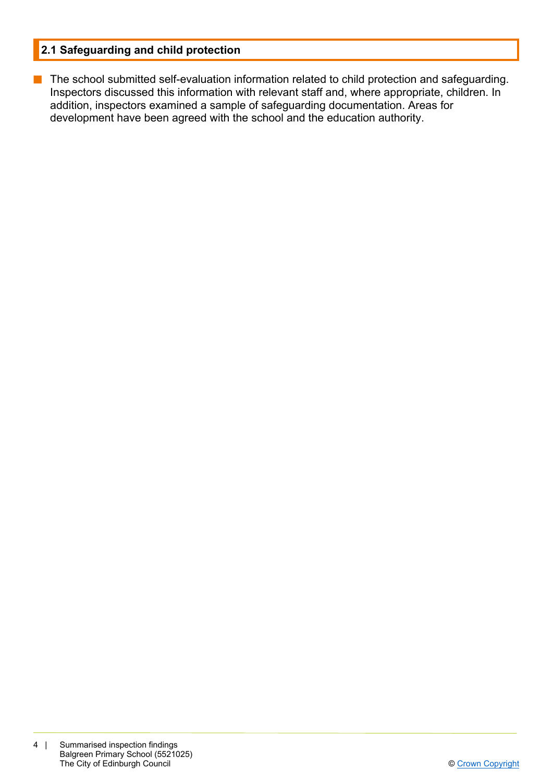### **2.1 Safeguarding and child protection**

**n** The school submitted self-evaluation information related to child protection and safeguarding. Inspectors discussed this information with relevant staff and, where appropriate, children. In addition, inspectors examined a sample of safeguarding documentation. Areas for development have been agreed with the school and the education authority.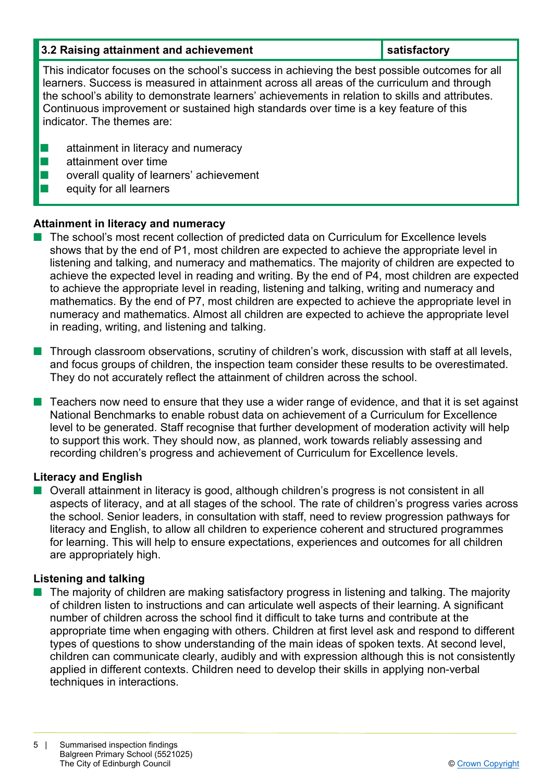| 3.2 Raising attainment and achievement                                                                                                                                                                                                                                                                                                                                                                                  | satisfactory |  |
|-------------------------------------------------------------------------------------------------------------------------------------------------------------------------------------------------------------------------------------------------------------------------------------------------------------------------------------------------------------------------------------------------------------------------|--------------|--|
| This indicator focuses on the school's success in achieving the best possible outcomes for all<br>learners. Success is measured in attainment across all areas of the curriculum and through<br>the school's ability to demonstrate learners' achievements in relation to skills and attributes.<br>Continuous improvement or sustained high standards over time is a key feature of this<br>indicator. The themes are: |              |  |
| attainment in literacy and numeracy<br>attainment over time<br>overall quality of learners' achievement<br>equity for all learners                                                                                                                                                                                                                                                                                      |              |  |

### **Attainment in literacy and numeracy**

- The school's most recent collection of predicted data on Curriculum for Excellence levels shows that by the end of P1, most children are expected to achieve the appropriate level in listening and talking, and numeracy and mathematics. The majority of children are expected to achieve the expected level in reading and writing. By the end of P4, most children are expected to achieve the appropriate level in reading, listening and talking, writing and numeracy and mathematics. By the end of P7, most children are expected to achieve the appropriate level in numeracy and mathematics. Almost all children are expected to achieve the appropriate level in reading, writing, and listening and talking.
- $\blacksquare$  Through classroom observations, scrutiny of children's work, discussion with staff at all levels, and focus groups of children, the inspection team consider these results to be overestimated. They do not accurately reflect the attainment of children across the school.
- $\blacksquare$  Teachers now need to ensure that they use a wider range of evidence, and that it is set against National Benchmarks to enable robust data on achievement of a Curriculum for Excellence level to be generated. Staff recognise that further development of moderation activity will help to support this work. They should now, as planned, work towards reliably assessing and recording children's progress and achievement of Curriculum for Excellence levels.

### **Literacy and English**

■ Overall attainment in literacy is good, although children's progress is not consistent in all aspects of literacy, and at all stages of the school. The rate of children's progress varies across the school. Senior leaders, in consultation with staff, need to review progression pathways for literacy and English, to allow all children to experience coherent and structured programmes for learning. This will help to ensure expectations, experiences and outcomes for all children are appropriately high.

### **Listening and talking**

 $\blacksquare$  The majority of children are making satisfactory progress in listening and talking. The majority of children listen to instructions and can articulate well aspects of their learning. A significant number of children across the school find it difficult to take turns and contribute at the appropriate time when engaging with others. Children at first level ask and respond to different types of questions to show understanding of the main ideas of spoken texts. At second level, children can communicate clearly, audibly and with expression although this is not consistently applied in different contexts. Children need to develop their skills in applying non-verbal techniques in interactions.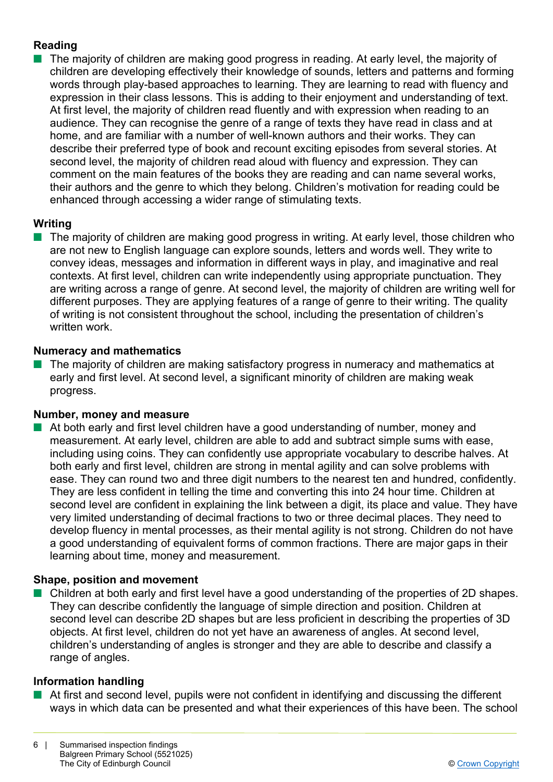### **Reading**

 $\blacksquare$  The majority of children are making good progress in reading. At early level, the majority of children are developing effectively their knowledge of sounds, letters and patterns and forming words through play-based approaches to learning. They are learning to read with fluency and expression in their class lessons. This is adding to their enjoyment and understanding of text. At first level, the majority of children read fluently and with expression when reading to an audience. They can recognise the genre of a range of texts they have read in class and at home, and are familiar with a number of well-known authors and their works. They can describe their preferred type of book and recount exciting episodes from several stories. At second level, the majority of children read aloud with fluency and expression. They can comment on the main features of the books they are reading and can name several works, their authors and the genre to which they belong. Children's motivation for reading could be enhanced through accessing a wider range of stimulating texts.

### **Writing**

 $\blacksquare$  The majority of children are making good progress in writing. At early level, those children who are not new to English language can explore sounds, letters and words well. They write to convey ideas, messages and information in different ways in play, and imaginative and real contexts. At first level, children can write independently using appropriate punctuation. They are writing across a range of genre. At second level, the majority of children are writing well for different purposes. They are applying features of a range of genre to their writing. The quality of writing is not consistent throughout the school, including the presentation of children's written work.

### **Numeracy and mathematics**

The majority of children are making satisfactory progress in numeracy and mathematics at early and first level. At second level, a significant minority of children are making weak progress.

### **Number, money and measure**

At both early and first level children have a good understanding of number, money and measurement. At early level, children are able to add and subtract simple sums with ease, including using coins. They can confidently use appropriate vocabulary to describe halves. At both early and first level, children are strong in mental agility and can solve problems with ease. They can round two and three digit numbers to the nearest ten and hundred, confidently. They are less confident in telling the time and converting this into 24 hour time. Children at second level are confident in explaining the link between a digit, its place and value. They have very limited understanding of decimal fractions to two or three decimal places. They need to develop fluency in mental processes, as their mental agility is not strong. Children do not have a good understanding of equivalent forms of common fractions. There are major gaps in their learning about time, money and measurement.

### **Shape, position and movement**

■ Children at both early and first level have a good understanding of the properties of 2D shapes. They can describe confidently the language of simple direction and position. Children at second level can describe 2D shapes but are less proficient in describing the properties of 3D objects. At first level, children do not yet have an awareness of angles. At second level, children's understanding of angles is stronger and they are able to describe and classify a range of angles.

### **Information handling**

 $\blacksquare$  At first and second level, pupils were not confident in identifying and discussing the different ways in which data can be presented and what their experiences of this have been. The school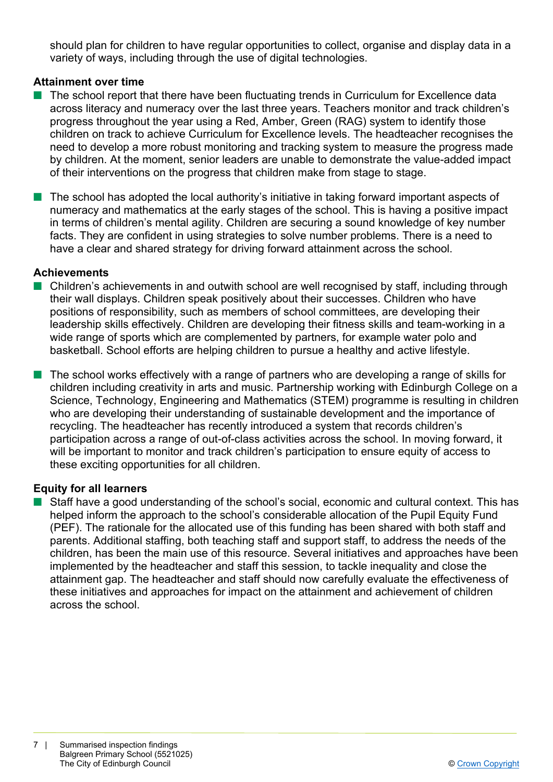should plan for children to have regular opportunities to collect, organise and display data in a variety of ways, including through the use of digital technologies.

### **Attainment over time**

- n The school report that there have been fluctuating trends in Curriculum for Excellence data across literacy and numeracy over the last three years. Teachers monitor and track children's progress throughout the year using a Red, Amber, Green (RAG) system to identify those children on track to achieve Curriculum for Excellence levels. The headteacher recognises the need to develop a more robust monitoring and tracking system to measure the progress made by children. At the moment, senior leaders are unable to demonstrate the value-added impact of their interventions on the progress that children make from stage to stage.
- $\blacksquare$  The school has adopted the local authority's initiative in taking forward important aspects of numeracy and mathematics at the early stages of the school. This is having a positive impact in terms of children's mental agility. Children are securing a sound knowledge of key number facts. They are confident in using strategies to solve number problems. There is a need to have a clear and shared strategy for driving forward attainment across the school.

### **Achievements**

- $\blacksquare$  Children's achievements in and outwith school are well recognised by staff, including through their wall displays. Children speak positively about their successes. Children who have positions of responsibility, such as members of school committees, are developing their leadership skills effectively. Children are developing their fitness skills and team-working in a wide range of sports which are complemented by partners, for example water polo and basketball. School efforts are helping children to pursue a healthy and active lifestyle.
- $\blacksquare$  The school works effectively with a range of partners who are developing a range of skills for children including creativity in arts and music. Partnership working with Edinburgh College on a Science, Technology, Engineering and Mathematics (STEM) programme is resulting in children who are developing their understanding of sustainable development and the importance of recycling. The headteacher has recently introduced a system that records children's participation across a range of out-of-class activities across the school. In moving forward, it will be important to monitor and track children's participation to ensure equity of access to these exciting opportunities for all children.

### **Equity for all learners**

 $\blacksquare$  Staff have a good understanding of the school's social, economic and cultural context. This has helped inform the approach to the school's considerable allocation of the Pupil Equity Fund (PEF). The rationale for the allocated use of this funding has been shared with both staff and parents. Additional staffing, both teaching staff and support staff, to address the needs of the children, has been the main use of this resource. Several initiatives and approaches have been implemented by the headteacher and staff this session, to tackle inequality and close the attainment gap. The headteacher and staff should now carefully evaluate the effectiveness of these initiatives and approaches for impact on the attainment and achievement of children across the school.